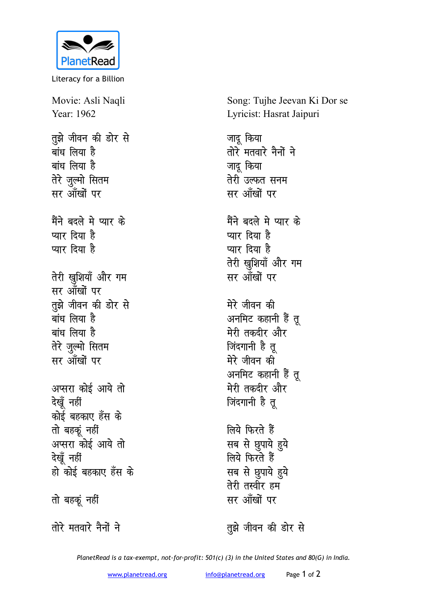

Literacy for a Billion

Movie: Asli Naqli Year: 1962 तुझे जीवन की डोर से बांध लिया है बांध लिया है तेरे जुल्मो सितम सर आँखों पर मैंने बदले मे प्यार के प्यार दिया है प्यार दिया है तेरी खुशियाँ और गम सर आँखों पर तुझे जीवन की डोर से बांध लिया है बांध लिया है तेरे जुल्मो सितम सर आँखों पर अप्सरा कोई आये तो देखूँ नहीं कोई बहकाए हँस के तो बहकूं नहीं अप्सरा कोई आये तो देखूँ नहीं हो कोई बहकाए हँस के तो बहकूं नहीं

तोरे मतवारे नैनों ने

Song: Tujhe Jeevan Ki Dor se Lyricist: Hasrat Jaipuri

जादू किया तोरे मतवारे नैनों ने जादू किया तेरी उल्फत सनम सर आँखों पर मैंने बदले मे प्यार के प्यार दिया है प्यार दिया है तेरी खुशियाँ और गम सर आँखों पर मेरे जीवन की अनमिट कहानी हैं त मेरी तकदीर और जिंदगानी है तू मेरे जीवन की अनमिट कहानी हैं तु मेरी तकदीर और जिंदगानी है तू लिये फिरते हैं सब से छुपाये हुये लिये फिरते हैं सब से छुपाये हुये तेरी तस्वीर हम

तुझे जीवन की डोर से

सर आँखों पर

PlanetRead is a tax-exempt, not-for-profit: 501(c) (3) in the United States and 80(G) in India.